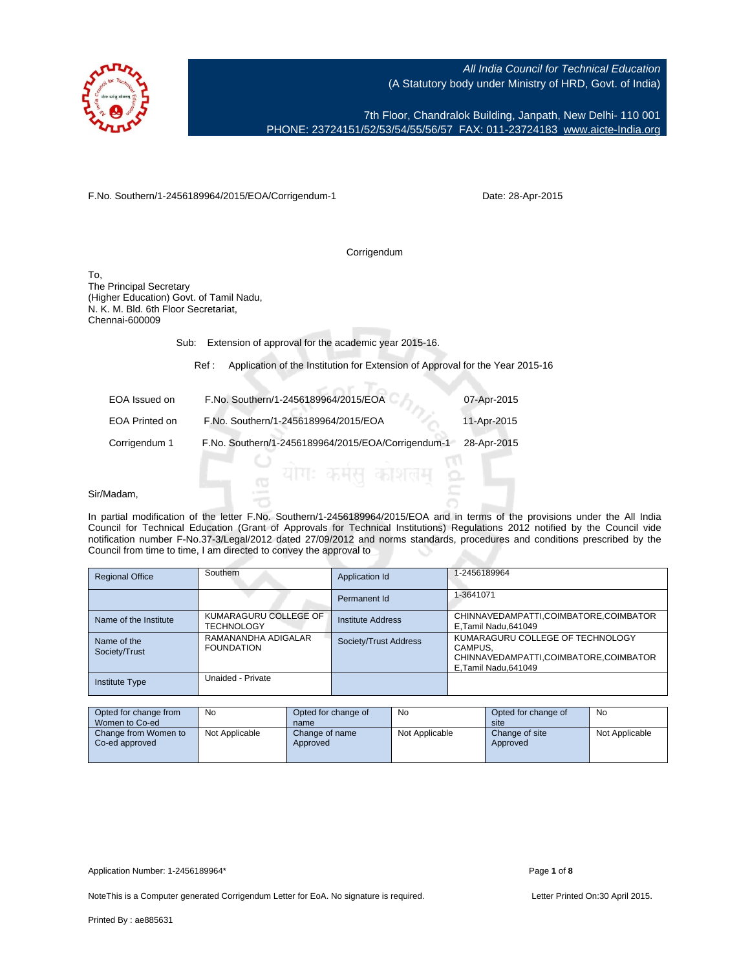

7th Floor, Chandralok Building, Janpath, New Delhi- 110 001 PHONE: 23724151/52/53/54/55/56/57 FAX: 011-23724183 [www.aicte-India.org](http://www.aicte-India.org)

F.No. Southern/1-2456189964/2015/EOA/Corrigendum-1

Date: 28-Apr-2015

Corrigendum

To, The Principal Secretary (Higher Education) Govt. of Tamil Nadu, N. K. M. Bld. 6th Floor Secretariat, Chennai-600009

Sub: Extension of approval for the academic year 2015-16.

Ref : Application of the Institution for Extension of Approval for the Year 2015-16

| EOA Issued on  | F.No. Southern/1-2456189964/2015/EOA               | 07-Apr-2015 |
|----------------|----------------------------------------------------|-------------|
| EOA Printed on | F.No. Southern/1-2456189964/2015/EOA               | 11-Apr-2015 |
| Corrigendum 1  | F.No. Southern/1-2456189964/2015/EOA/Corrigendum-1 | 28-Apr-2015 |
|                |                                                    |             |

## Sir/Madam,

In partial modification of the letter F.No. Southern/1-2456189964/2015/EOA and in terms of the provisions under the All India Council for Technical Education (Grant of Approvals for Technical Institutions) Regulations 2012 notified by the Council vide notification number F-No.37-3/Legal/2012 dated 27/09/2012 and norms standards, procedures and conditions prescribed by the Council from time to time, I am directed to convey the approval to

| <b>Regional Office</b>       | Southern                                   | Application Id        | 1-2456189964                                                                                                  |
|------------------------------|--------------------------------------------|-----------------------|---------------------------------------------------------------------------------------------------------------|
|                              |                                            | Permanent Id          | 1-3641071                                                                                                     |
| Name of the Institute        | KUMARAGURU COLLEGE OF<br><b>TECHNOLOGY</b> | Institute Address     | CHINNAVEDAMPATTI,COIMBATORE,COIMBATOR<br>E, Tamil Nadu, 641049                                                |
| Name of the<br>Society/Trust | RAMANANDHA ADIGALAR<br><b>FOUNDATION</b>   | Society/Trust Address | KUMARAGURU COLLEGE OF TECHNOLOGY<br>CAMPUS.<br>CHINNAVEDAMPATTI,COIMBATORE,COIMBATOR<br>E, Tamil Nadu, 641049 |
| <b>Institute Type</b>        | Unaided - Private                          |                       |                                                                                                               |

| Opted for change from                  | No.            | Opted for change of        | No             | Opted for change of        | No             |
|----------------------------------------|----------------|----------------------------|----------------|----------------------------|----------------|
| Women to Co-ed                         |                | name                       |                | site                       |                |
| Change from Women to<br>Co-ed approved | Not Applicable | Change of name<br>Approved | Not Applicable | Change of site<br>Approved | Not Applicable |

Application Number: 1-2456189964\* Page **1** of **8**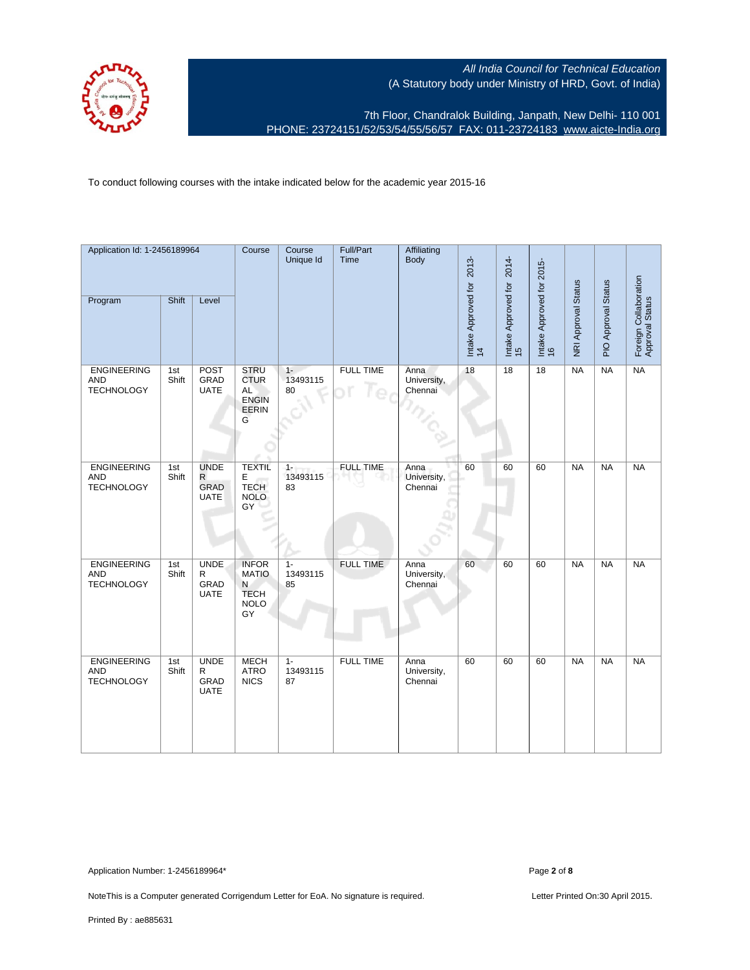

7th Floor, Chandralok Building, Janpath, New Delhi- 110 001 PHONE: 23724151/52/53/54/55/56/57 FAX: 011-23724183 [www.aicte-India.org](http://www.aicte-India.org)

To conduct following courses with the intake indicated below for the academic year 2015-16

| Application Id: 1-2456189964                          |              |                                                           | Course                                                         | Course<br>Unique Id     | Full/Part<br>Time | Affiliating<br>Body            |                                 | 2014-                     |                                 |                     |                     |                                          |
|-------------------------------------------------------|--------------|-----------------------------------------------------------|----------------------------------------------------------------|-------------------------|-------------------|--------------------------------|---------------------------------|---------------------------|---------------------------------|---------------------|---------------------|------------------------------------------|
| Program                                               | Shift        | Level                                                     |                                                                |                         |                   |                                | Intake Approved for 2013-<br>14 | Intake Approved for<br>15 | Intake Approved for 2015-<br>16 | NRI Approval Status | PIO Approval Status | Foreign Collaboration<br>Approval Status |
| <b>ENGINEERING</b><br><b>AND</b><br><b>TECHNOLOGY</b> | 1st<br>Shift | <b>POST</b><br>GRAD<br><b>UATE</b>                        | <b>STRU</b><br><b>CTUR</b><br>AL<br><b>ENGIN</b><br>EERIN<br>G | $1 -$<br>13493115<br>80 | <b>FULL TIME</b>  | Anna<br>University,<br>Chennai | 18                              | 18                        | $\overline{18}$                 | <b>NA</b>           | NA                  | NA                                       |
| <b>ENGINEERING</b><br><b>AND</b><br><b>TECHNOLOGY</b> | 1st<br>Shift | <b>UNDE</b><br>$\mathsf{R}$<br><b>GRAD</b><br><b>UATE</b> | <b>TEXTIL</b><br>E<br><b>TECH</b><br><b>NOLO</b><br>GY         | $1 -$<br>13493115<br>83 | <b>FULL TIME</b>  | Anna<br>University,<br>Chennai | 60                              | 60                        | 60                              | NA                  | NA                  | $N_A$                                    |
| <b>ENGINEERING</b><br><b>AND</b><br><b>TECHNOLOGY</b> | 1st<br>Shift | <b>UNDE</b><br>R<br>GRAD<br><b>UATE</b>                   | <b>INFOR</b><br><b>MATIO</b><br>N<br><b>TECH</b><br>NOLO<br>GY | $1 -$<br>13493115<br>85 | <b>FULL TIME</b>  | Anna<br>University,<br>Chennai | 60                              | 60                        | 60                              | $N_A$               | $\overline{NA}$     | $N_A$                                    |
| ENGINEERING<br><b>AND</b><br><b>TECHNOLOGY</b>        | 1st<br>Shift | <b>UNDE</b><br>R<br>GRAD<br><b>UATE</b>                   | <b>MECH</b><br><b>ATRO</b><br><b>NICS</b>                      | $1 -$<br>13493115<br>87 | <b>FULL TIME</b>  | Anna<br>University,<br>Chennai | 60                              | 60                        | 60                              | <b>NA</b>           | <b>NA</b>           | <b>NA</b>                                |

Application Number: 1-2456189964\* Page **2** of **8**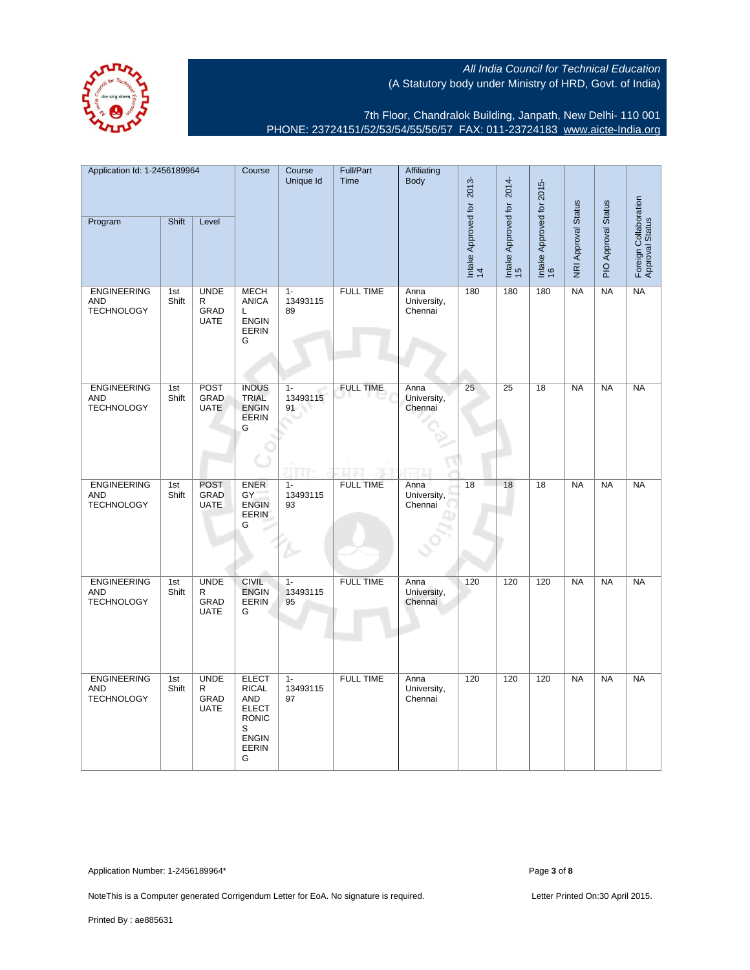

7th Floor, Chandralok Building, Janpath, New Delhi- 110 001 PHONE: 23724151/52/53/54/55/56/57 FAX: 011-23724183 [www.aicte-India.org](http://www.aicte-India.org)

| Application Id: 1-2456189964                          |              | Course                                             | Course<br>Unique Id                                                                                           | Full/Part<br>Time       | Affiliating<br><b>Body</b> |                                | 2014-                           |                           |                                 |                            |                     |                                          |
|-------------------------------------------------------|--------------|----------------------------------------------------|---------------------------------------------------------------------------------------------------------------|-------------------------|----------------------------|--------------------------------|---------------------------------|---------------------------|---------------------------------|----------------------------|---------------------|------------------------------------------|
| Program                                               | Shift        | Level                                              |                                                                                                               |                         |                            |                                | Intake Approved for 2013-<br>14 | Intake Approved for<br>15 | Intake Approved for 2015-<br>16 | <b>NRI Approval Status</b> | PIO Approval Status | Foreign Collaboration<br>Approval Status |
| <b>ENGINEERING</b><br><b>AND</b><br><b>TECHNOLOGY</b> | 1st<br>Shift | <b>UNDE</b><br>$\mathsf{R}$<br>GRAD<br><b>UATE</b> | <b>MECH</b><br><b>ANICA</b><br>L.<br><b>ENGIN</b><br><b>EERIN</b><br>G                                        | $1 -$<br>13493115<br>89 | <b>FULL TIME</b>           | Anna<br>University,<br>Chennai | 180                             | 180                       | 180                             | NA                         | NA                  | NA                                       |
| <b>ENGINEERING</b><br><b>AND</b><br><b>TECHNOLOGY</b> | 1st<br>Shift | POST<br>GRAD<br><b>UATE</b>                        | <b>INDUS</b><br><b>TRIAL</b><br><b>ENGIN</b><br><b>EERIN</b><br>G                                             | $1 -$<br>13493115<br>91 | <b>FULL TIME</b>           | Anna<br>University,<br>Chennai | 25                              | 25                        | $\overline{18}$                 | <b>NA</b>                  | NA                  | NA                                       |
| <b>ENGINEERING</b><br><b>AND</b><br><b>TECHNOLOGY</b> | 1st<br>Shift | <b>POST</b><br>GRAD<br><b>UATE</b>                 | <b>ENER</b><br>GY<br><b>ENGIN</b><br><b>EERIN</b><br>G                                                        | $1 -$<br>13493115<br>93 | <b>FULL TIME</b>           | Anna<br>University,<br>Chennai | 18                              | 18                        | 18                              | <b>NA</b>                  | <b>NA</b>           | <b>NA</b>                                |
| <b>ENGINEERING</b><br><b>AND</b><br><b>TECHNOLOGY</b> | 1st<br>Shift | <b>UNDE</b><br>$\mathsf{R}$<br>GRAD<br><b>UATE</b> | <b>CIVIL</b><br><b>ENGIN</b><br>EERIN<br>G                                                                    | $1 -$<br>13493115<br>95 | <b>FULL TIME</b>           | Anna<br>University,<br>Chennai | 120                             | 120                       | 120                             | NA                         | <b>NA</b>           | NA                                       |
| <b>ENGINEERING</b><br><b>AND</b><br><b>TECHNOLOGY</b> | 1st<br>Shift | <b>UNDE</b><br>$\mathsf R$<br>GRAD<br><b>UATE</b>  | <b>ELECT</b><br><b>RICAL</b><br><b>AND</b><br><b>ELECT</b><br><b>RONIC</b><br>S<br>ENGIN<br><b>EERIN</b><br>G | $1 -$<br>13493115<br>97 | <b>FULL TIME</b>           | Anna<br>University,<br>Chennai | 120                             | 120                       | 120                             | <b>NA</b>                  | <b>NA</b>           | NA                                       |

Application Number: 1-2456189964\* Page **3** of **8**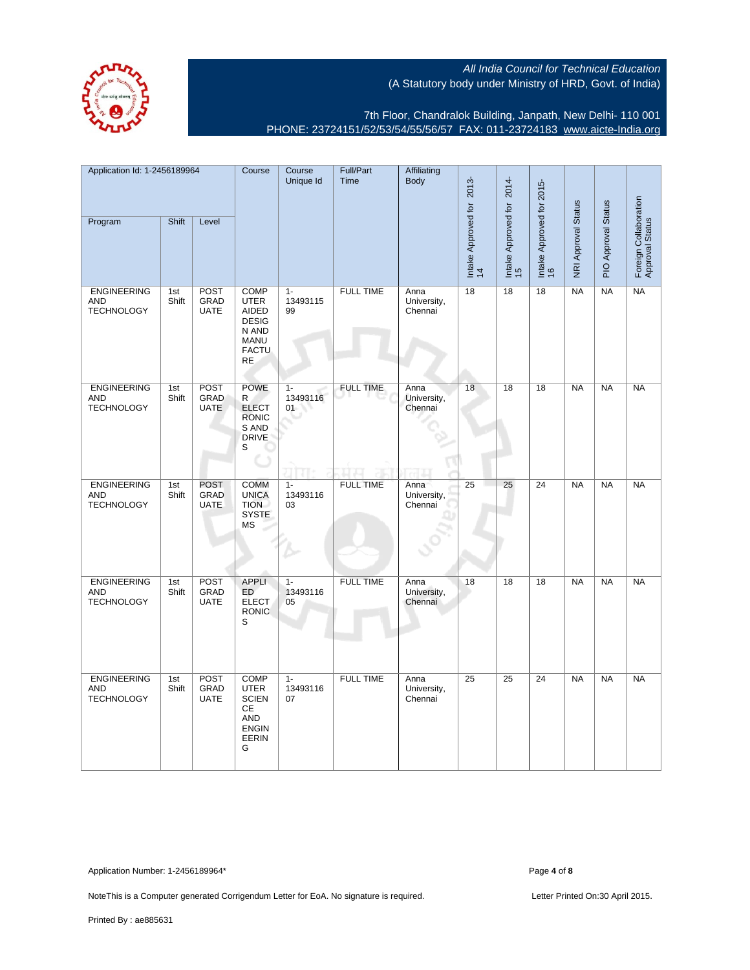

7th Floor, Chandralok Building, Janpath, New Delhi- 110 001 PHONE: 23724151/52/53/54/55/56/57 FAX: 011-23724183 [www.aicte-India.org](http://www.aicte-India.org)

| Application Id: 1-2456189964                          |              |                                    | Course                                                                                              | Course<br>Unique Id     | Full/Part<br>Time | Affiliating<br><b>Body</b>     |                                 | 2014-                     |                                 |                     |                     |                                          |
|-------------------------------------------------------|--------------|------------------------------------|-----------------------------------------------------------------------------------------------------|-------------------------|-------------------|--------------------------------|---------------------------------|---------------------------|---------------------------------|---------------------|---------------------|------------------------------------------|
| Program                                               | Shift        | Level                              |                                                                                                     |                         |                   |                                | Intake Approved for 2013-<br>14 | Intake Approved for<br>15 | Intake Approved for 2015-<br>16 | NRI Approval Status | PIO Approval Status | Foreign Collaboration<br>Approval Status |
| <b>ENGINEERING</b><br><b>AND</b><br><b>TECHNOLOGY</b> | 1st<br>Shift | <b>POST</b><br>GRAD<br><b>UATE</b> | <b>COMP</b><br><b>UTER</b><br>AIDED<br><b>DESIG</b><br>N AND<br><b>MANU</b><br><b>FACTU</b><br>RE.  | $1 -$<br>13493115<br>99 | <b>FULL TIME</b>  | Anna<br>University,<br>Chennai | 18                              | 18                        | 18                              | <b>NA</b>           | <b>NA</b>           | <b>NA</b>                                |
| <b>ENGINEERING</b><br><b>AND</b><br><b>TECHNOLOGY</b> | 1st<br>Shift | POST<br>GRAD<br><b>UATE</b>        | <b>POWE</b><br>R<br><b>ELECT</b><br><b>RONIC</b><br>S AND<br><b>DRIVE</b><br>S                      | $1 -$<br>13493116<br>01 | <b>FULL TIME</b>  | Anna<br>University,<br>Chennai | 18                              | 18                        | 18                              | NA                  | NA                  | NA                                       |
| <b>ENGINEERING</b><br><b>AND</b><br><b>TECHNOLOGY</b> | 1st<br>Shift | <b>POST</b><br>GRAD<br><b>UATE</b> | <b>COMM</b><br><b>UNICA</b><br><b>TION</b><br><b>SYSTE</b><br>МS                                    | $1 -$<br>13493116<br>03 | <b>FULL TIME</b>  | Anna<br>University,<br>Chennai | 25                              | 25                        | 24                              | <b>NA</b>           | <b>NA</b>           | <b>NA</b>                                |
| <b>ENGINEERING</b><br><b>AND</b><br><b>TECHNOLOGY</b> | 1st<br>Shift | POST<br>GRAD<br><b>UATE</b>        | <b>APPLI</b><br><b>ED</b><br><b>ELECT</b><br><b>RONIC</b><br>S                                      | $1 -$<br>13493116<br>05 | <b>FULL TIME</b>  | Anna<br>University,<br>Chennai | 18                              | 18                        | $\overline{18}$                 | <b>NA</b>           | <b>NA</b>           | NA                                       |
| <b>ENGINEERING</b><br><b>AND</b><br><b>TECHNOLOGY</b> | 1st<br>Shift | POST<br>GRAD<br><b>UATE</b>        | <b>COMP</b><br><b>UTER</b><br><b>SCIEN</b><br>CE<br><b>AND</b><br><b>ENGIN</b><br><b>EERIN</b><br>G | $1 -$<br>13493116<br>07 | <b>FULL TIME</b>  | Anna<br>University,<br>Chennai | $\overline{25}$                 | $\overline{25}$           | $\overline{24}$                 | NA                  | <b>NA</b>           | NA                                       |

Application Number: 1-2456189964\* Page **4** of **8**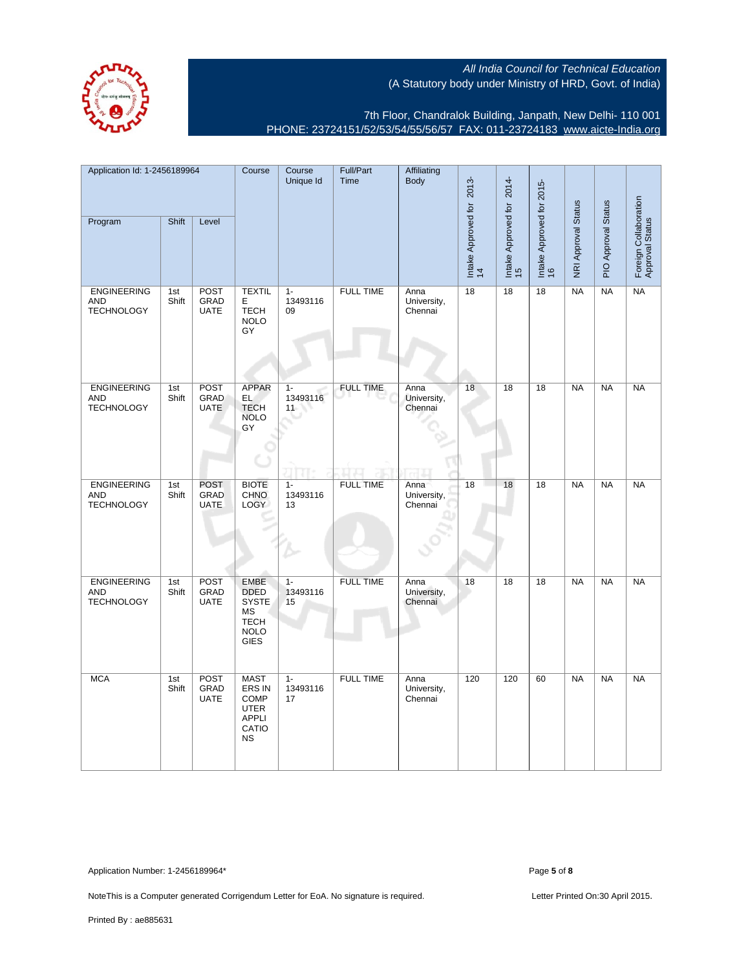

7th Floor, Chandralok Building, Janpath, New Delhi- 110 001 PHONE: 23724151/52/53/54/55/56/57 FAX: 011-23724183 [www.aicte-India.org](http://www.aicte-India.org)

| Application Id: 1-2456189964                          |              |                                    | Course                                                                                               | Course<br>Unique Id     | Full/Part<br>Time | Affiliating<br><b>Body</b>     |                                 | 2014-                     |                                 |                     |                     |                                          |
|-------------------------------------------------------|--------------|------------------------------------|------------------------------------------------------------------------------------------------------|-------------------------|-------------------|--------------------------------|---------------------------------|---------------------------|---------------------------------|---------------------|---------------------|------------------------------------------|
| Program                                               | Shift        | Level                              |                                                                                                      |                         |                   |                                | Intake Approved for 2013-<br>14 | Intake Approved for<br>15 | Intake Approved for 2015-<br>16 | NRI Approval Status | PIO Approval Status | Foreign Collaboration<br>Approval Status |
| <b>ENGINEERING</b><br><b>AND</b><br><b>TECHNOLOGY</b> | 1st<br>Shift | <b>POST</b><br>GRAD<br><b>UATE</b> | <b>TEXTIL</b><br>Е<br><b>TECH</b><br><b>NOLO</b><br>GY                                               | $1 -$<br>13493116<br>09 | <b>FULL TIME</b>  | Anna<br>University,<br>Chennai | 18                              | 18                        | 18                              | <b>NA</b>           | <b>NA</b>           | <b>NA</b>                                |
| <b>ENGINEERING</b><br><b>AND</b><br><b>TECHNOLOGY</b> | 1st<br>Shift | POST<br>GRAD<br><b>UATE</b>        | <b>APPAR</b><br>EL<br><b>TECH</b><br><b>NOLO</b><br>GY                                               | $1 -$<br>13493116<br>11 | <b>FULL TIME</b>  | Anna<br>University,<br>Chennai | 18                              | 18                        | 18                              | NA                  | NA                  | NA                                       |
| <b>ENGINEERING</b><br><b>AND</b><br><b>TECHNOLOGY</b> | 1st<br>Shift | <b>POST</b><br>GRAD<br><b>UATE</b> | <b>BIOTE</b><br>CHNO<br>LOGY                                                                         | $1 -$<br>13493116<br>13 | <b>FULL TIME</b>  | Anna<br>University,<br>Chennai | 18                              | 18                        | 18                              | <b>NA</b>           | <b>NA</b>           | <b>NA</b>                                |
| <b>ENGINEERING</b><br><b>AND</b><br><b>TECHNOLOGY</b> | 1st<br>Shift | POST<br>GRAD<br><b>UATE</b>        | <b>EMBE</b><br><b>DDED</b><br><b>SYSTE</b><br><b>MS</b><br><b>TECH</b><br><b>NOLO</b><br><b>GIES</b> | $1 -$<br>13493116<br>15 | <b>FULL TIME</b>  | Anna<br>University,<br>Chennai | 18                              | 18                        | $\overline{18}$                 | <b>NA</b>           | <b>NA</b>           | NA                                       |
| <b>MCA</b>                                            | 1st<br>Shift | POST<br>GRAD<br><b>UATE</b>        | <b>MAST</b><br>ERS IN<br><b>COMP</b><br><b>UTER</b><br><b>APPLI</b><br>CATIO<br><b>NS</b>            | $1 -$<br>13493116<br>17 | <b>FULL TIME</b>  | Anna<br>University,<br>Chennai | 120                             | 120                       | 60                              | NA                  | <b>NA</b>           | NA                                       |

Application Number: 1-2456189964\* Page **5** of **8**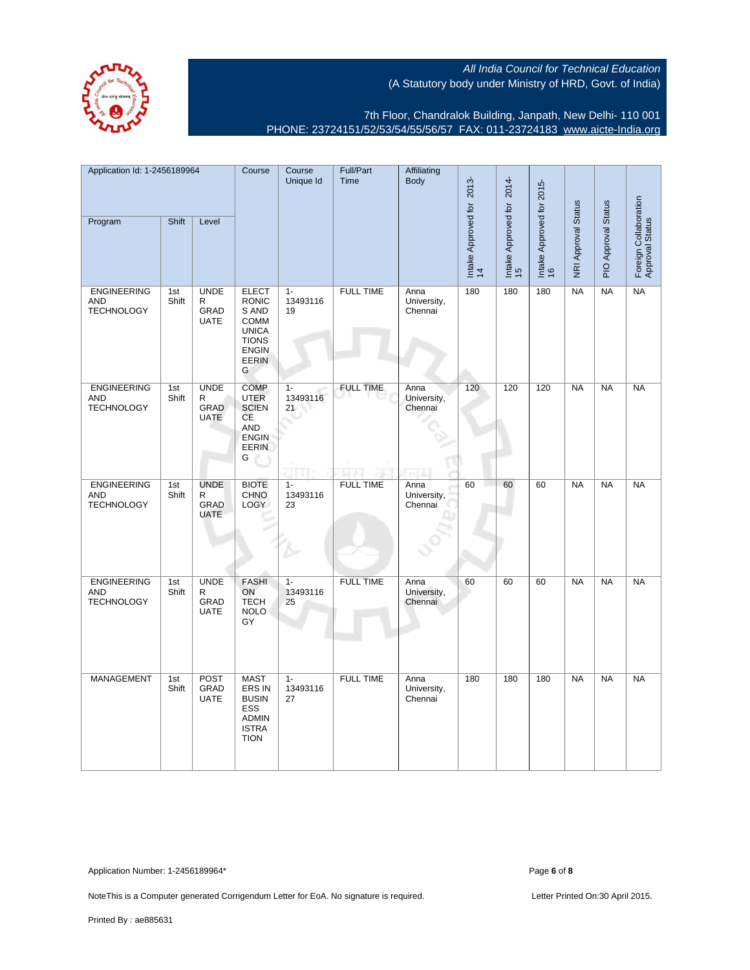

7th Floor, Chandralok Building, Janpath, New Delhi- 110 001 PHONE: 23724151/52/53/54/55/56/57 FAX: 011-23724183 [www.aicte-India.org](http://www.aicte-India.org)

| Application Id: 1-2456189964                          |              |                                                    | Course                                                                                                                    | Course<br>Unique Id     | Full/Part<br>Time | Affiliating<br><b>Body</b>     |                                 | 2014-                     |                                 |                     |                     |                                          |
|-------------------------------------------------------|--------------|----------------------------------------------------|---------------------------------------------------------------------------------------------------------------------------|-------------------------|-------------------|--------------------------------|---------------------------------|---------------------------|---------------------------------|---------------------|---------------------|------------------------------------------|
| Program                                               | Shift        | Level                                              |                                                                                                                           |                         |                   |                                | Intake Approved for 2013-<br>14 | Intake Approved for<br>15 | Intake Approved for 2015-<br>16 | NRI Approval Status | PIO Approval Status | Foreign Collaboration<br>Approval Status |
| <b>ENGINEERING</b><br><b>AND</b><br><b>TECHNOLOGY</b> | 1st<br>Shift | <b>UNDE</b><br>$\mathsf R$<br>GRAD<br><b>UATE</b>  | <b>ELECT</b><br><b>RONIC</b><br>S AND<br><b>COMM</b><br><b>UNICA</b><br><b>TIONS</b><br><b>ENGIN</b><br><b>EERIN</b><br>G | $1 -$<br>13493116<br>19 | <b>FULL TIME</b>  | Anna<br>University,<br>Chennai | 180                             | 180                       | 180                             | NA                  | NA                  | <b>NA</b>                                |
| <b>ENGINEERING</b><br><b>AND</b><br><b>TECHNOLOGY</b> | 1st<br>Shift | <b>UNDE</b><br>R<br>GRAD<br><b>UATE</b>            | <b>COMP</b><br><b>UTER</b><br><b>SCIEN</b><br>CE<br>AND<br><b>ENGIN</b><br><b>EERIN</b><br>G                              | $1 -$<br>13493116<br>21 | <b>FULL TIME</b>  | Anna<br>University,<br>Chennai | 120                             | 120                       | 120                             | <b>NA</b>           | <b>NA</b>           | <b>NA</b>                                |
| <b>ENGINEERING</b><br><b>AND</b><br><b>TECHNOLOGY</b> | 1st<br>Shift | <b>UNDE</b><br>R<br>GRAD<br><b>UATE</b>            | <b>BIOTE</b><br><b>CHNO</b><br>LOGY                                                                                       | $1 -$<br>13493116<br>23 | <b>FULL TIME</b>  | Anna<br>University,<br>Chennai | 60                              | 60                        | 60                              | NA                  | <b>NA</b>           | NA                                       |
| <b>ENGINEERING</b><br><b>AND</b><br><b>TECHNOLOGY</b> | 1st<br>Shift | <b>UNDE</b><br>$\mathsf{R}$<br>GRAD<br><b>UATE</b> | <b>FASHI</b><br>ON<br><b>TECH</b><br><b>NOLO</b><br>GY                                                                    | $1 -$<br>13493116<br>25 | <b>FULL TIME</b>  | Anna<br>University,<br>Chennai | 60                              | 60                        | 60                              | NA                  | NA                  | NA                                       |
| MANAGEMENT                                            | 1st<br>Shift | POST<br>GRAD<br><b>UATE</b>                        | <b>MAST</b><br>ERS IN<br><b>BUSIN</b><br>ESS<br><b>ADMIN</b><br><b>ISTRA</b><br><b>TION</b>                               | $1 -$<br>13493116<br>27 | <b>FULL TIME</b>  | Anna<br>University,<br>Chennai | 180                             | 180                       | 180                             | <b>NA</b>           | <b>NA</b>           | <b>NA</b>                                |

Application Number: 1-2456189964\* Page **6** of **8**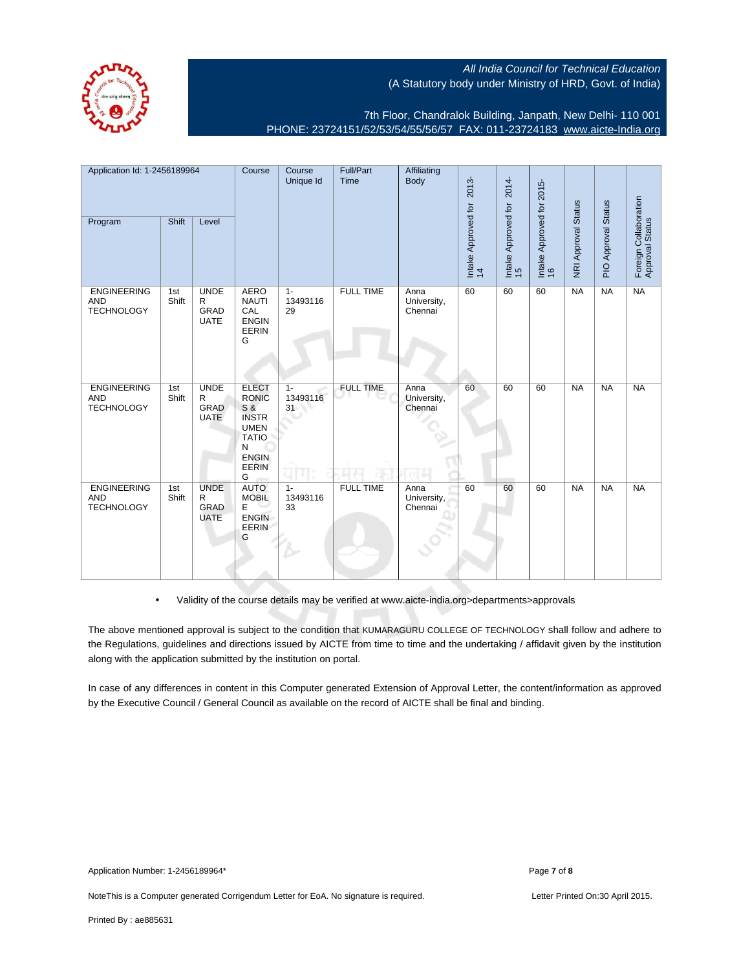

7th Floor, Chandralok Building, Janpath, New Delhi- 110 001 PHONE: 23724151/52/53/54/55/56/57 FAX: 011-23724183 [www.aicte-India.org](http://www.aicte-India.org)

| Application Id: 1-2456189964                          |              | Course                                             | Course<br>Unique Id                                                                                                          | Full/Part<br>Time       | Affiliating<br>Body     | 2013-                          | 2014-                     |                           |                                 |                     |                     |                                          |
|-------------------------------------------------------|--------------|----------------------------------------------------|------------------------------------------------------------------------------------------------------------------------------|-------------------------|-------------------------|--------------------------------|---------------------------|---------------------------|---------------------------------|---------------------|---------------------|------------------------------------------|
| Program                                               | Shift        | Level                                              |                                                                                                                              |                         |                         |                                | Intake Approved for<br>14 | Intake Approved for<br>15 | Intake Approved for 2015-<br>16 | NRI Approval Status | PIO Approval Status | Foreign Collaboration<br>Approval Status |
| <b>ENGINEERING</b><br><b>AND</b><br><b>TECHNOLOGY</b> | 1st<br>Shift | <b>UNDE</b><br>$\mathsf{R}$<br>GRAD<br><b>UATE</b> | <b>AERO</b><br><b>NAUTI</b><br>CAL<br><b>ENGIN</b><br>EERIN<br>G                                                             | $1 -$<br>13493116<br>29 | <b>FULL TIME</b>        | Anna<br>University,<br>Chennai | 60                        | 60                        | 60                              | <b>NA</b>           | NA                  | NA                                       |
| <b>ENGINEERING</b><br><b>AND</b><br><b>TECHNOLOGY</b> | 1st<br>Shift | <b>UNDE</b><br>R<br>GRAD<br><b>UATE</b>            | <b>ELECT</b><br><b>RONIC</b><br>S &<br><b>INSTR</b><br><b>UMEN</b><br><b>TATIO</b><br>N<br><b>ENGIN</b><br><b>EERIN</b><br>G | $1 -$<br>13493116<br>31 | <b>FULL TIME</b><br>ы к | Anna<br>University,<br>Chennai | 60                        | 60                        | 60                              | <b>NA</b>           | NA                  | NA                                       |
| <b>ENGINEERING</b><br><b>AND</b><br><b>TECHNOLOGY</b> | 1st<br>Shift | <b>UNDE</b><br>R<br><b>GRAD</b><br><b>UATE</b>     | <b>AUTO</b><br><b>MOBIL</b><br>E<br><b>ENGIN</b><br><b>EERIN</b><br>G                                                        | $1 -$<br>13493116<br>33 | <b>FULL TIME</b>        | Anna<br>University,<br>Chennai | 60                        | 60                        | 60                              | NA                  | <b>NA</b>           | <b>NA</b>                                |

• Validity of the course details may be verified at www.aicte-india.org>departments>approvals

The above mentioned approval is subject to the condition that KUMARAGURU COLLEGE OF TECHNOLOGY shall follow and adhere to the Regulations, guidelines and directions issued by AICTE from time to time and the undertaking / affidavit given by the institution along with the application submitted by the institution on portal.

In case of any differences in content in this Computer generated Extension of Approval Letter, the content/information as approved by the Executive Council / General Council as available on the record of AICTE shall be final and binding.